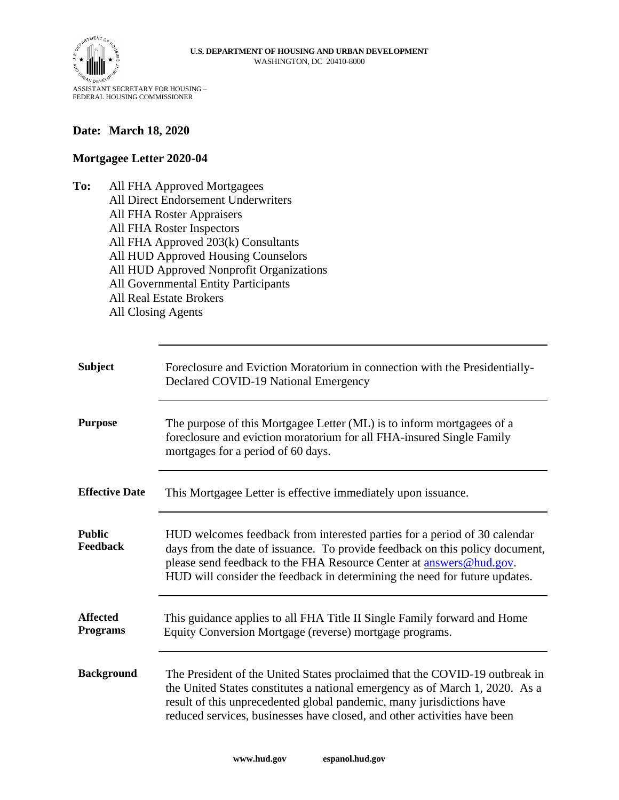

ASSISTANT SECRETARY FOR HOUSING – FEDERAL HOUSING COMMISSIONER

## **Date: March 18, 2020**

## **Mortgagee Letter 2020-04**

**To:** All FHA Approved Mortgagees All Direct Endorsement Underwriters All FHA Roster Appraisers All FHA Roster Inspectors All FHA Approved 203(k) Consultants All HUD Approved Housing Counselors All HUD Approved Nonprofit Organizations All Governmental Entity Participants All Real Estate Brokers All Closing Agents

| <b>Subject</b>                     | Foreclosure and Eviction Moratorium in connection with the Presidentially-<br>Declared COVID-19 National Emergency                                                                                                                                                                                               |
|------------------------------------|------------------------------------------------------------------------------------------------------------------------------------------------------------------------------------------------------------------------------------------------------------------------------------------------------------------|
| <b>Purpose</b>                     | The purpose of this Mortgagee Letter (ML) is to inform mortgagees of a<br>foreclosure and eviction moratorium for all FHA-insured Single Family<br>mortgages for a period of 60 days.                                                                                                                            |
| <b>Effective Date</b>              | This Mortgagee Letter is effective immediately upon issuance.                                                                                                                                                                                                                                                    |
| <b>Public</b><br>Feedback          | HUD welcomes feedback from interested parties for a period of 30 calendar<br>days from the date of issuance. To provide feedback on this policy document,<br>please send feedback to the FHA Resource Center at answers@hud.gov.<br>HUD will consider the feedback in determining the need for future updates.   |
| <b>Affected</b><br><b>Programs</b> | This guidance applies to all FHA Title II Single Family forward and Home<br>Equity Conversion Mortgage (reverse) mortgage programs.                                                                                                                                                                              |
| <b>Background</b>                  | The President of the United States proclaimed that the COVID-19 outbreak in<br>the United States constitutes a national emergency as of March 1, 2020. As a<br>result of this unprecedented global pandemic, many jurisdictions have<br>reduced services, businesses have closed, and other activities have been |